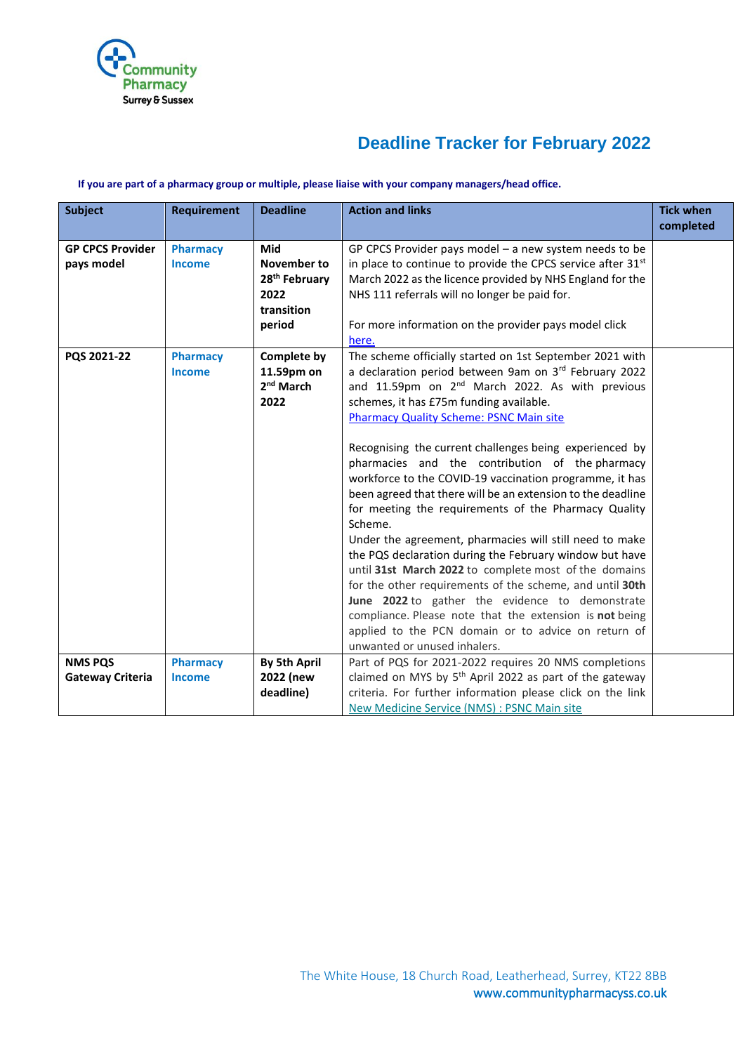

# **Deadline Tracker for February 2022**

#### **If you are part of a pharmacy group or multiple, please liaise with your company managers/head office.**

| <b>Subject</b>                            | <b>Requirement</b>               | <b>Deadline</b>                                                                 | <b>Action and links</b>                                                                                                                                                                                                                                                                                                                                                                                                                                                                                                                                                                                                                                                                                                                                                                                                                                                                                                                                                                                                                  | <b>Tick when</b><br>completed |
|-------------------------------------------|----------------------------------|---------------------------------------------------------------------------------|------------------------------------------------------------------------------------------------------------------------------------------------------------------------------------------------------------------------------------------------------------------------------------------------------------------------------------------------------------------------------------------------------------------------------------------------------------------------------------------------------------------------------------------------------------------------------------------------------------------------------------------------------------------------------------------------------------------------------------------------------------------------------------------------------------------------------------------------------------------------------------------------------------------------------------------------------------------------------------------------------------------------------------------|-------------------------------|
| <b>GP CPCS Provider</b><br>pays model     | <b>Pharmacy</b><br><b>Income</b> | Mid<br>November to<br>28 <sup>th</sup> February<br>2022<br>transition<br>period | GP CPCS Provider pays model $-$ a new system needs to be<br>in place to continue to provide the CPCS service after 31 <sup>st</sup><br>March 2022 as the licence provided by NHS England for the<br>NHS 111 referrals will no longer be paid for.<br>For more information on the provider pays model click<br>here.                                                                                                                                                                                                                                                                                                                                                                                                                                                                                                                                                                                                                                                                                                                      |                               |
| PQS 2021-22                               | <b>Pharmacy</b><br>Income        | <b>Complete by</b><br>11.59pm on<br>2 <sup>nd</sup> March<br>2022               | The scheme officially started on 1st September 2021 with<br>a declaration period between 9am on 3rd February 2022<br>and 11.59pm on 2 <sup>nd</sup> March 2022. As with previous<br>schemes, it has £75m funding available.<br><b>Pharmacy Quality Scheme: PSNC Main site</b><br>Recognising the current challenges being experienced by<br>pharmacies and the contribution of the pharmacy<br>workforce to the COVID-19 vaccination programme, it has<br>been agreed that there will be an extension to the deadline<br>for meeting the requirements of the Pharmacy Quality<br>Scheme.<br>Under the agreement, pharmacies will still need to make<br>the PQS declaration during the February window but have<br>until 31st March 2022 to complete most of the domains<br>for the other requirements of the scheme, and until 30th<br>June 2022 to gather the evidence to demonstrate<br>compliance. Please note that the extension is not being<br>applied to the PCN domain or to advice on return of<br>unwanted or unused inhalers. |                               |
| <b>NMS PQS</b><br><b>Gateway Criteria</b> | <b>Pharmacy</b><br><b>Income</b> | <b>By 5th April</b><br>2022 (new<br>deadline)                                   | Part of PQS for 2021-2022 requires 20 NMS completions<br>claimed on MYS by 5 <sup>th</sup> April 2022 as part of the gateway<br>criteria. For further information please click on the link<br>New Medicine Service (NMS) : PSNC Main site                                                                                                                                                                                                                                                                                                                                                                                                                                                                                                                                                                                                                                                                                                                                                                                                |                               |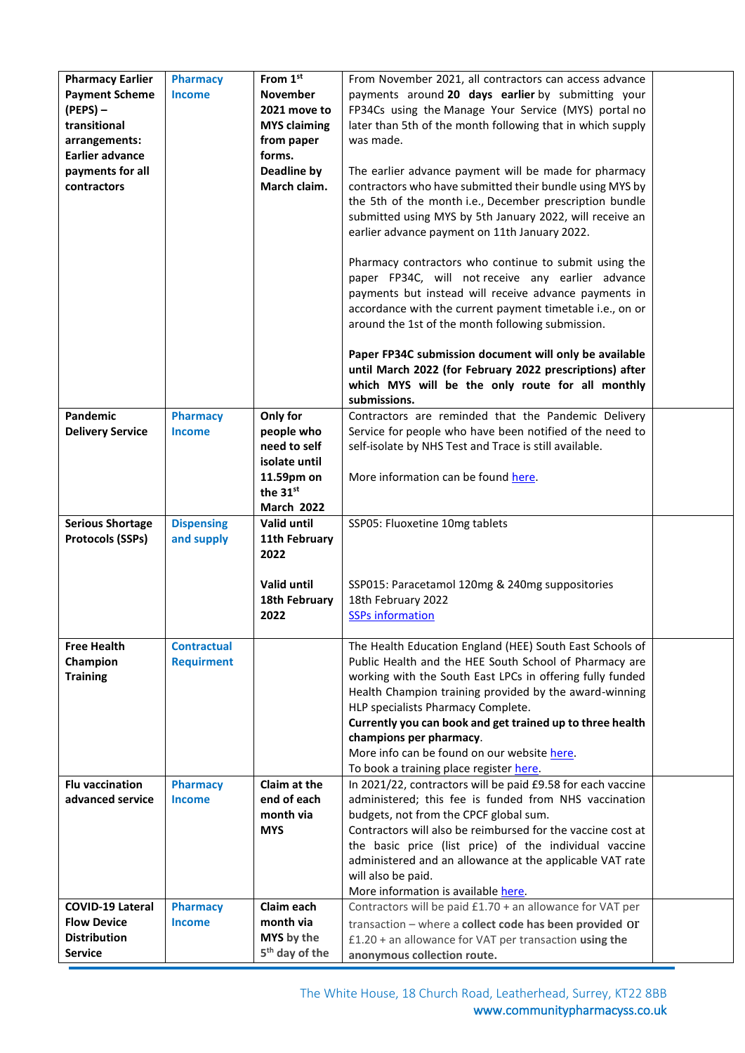| <b>Pharmacy Earlier</b><br><b>Payment Scheme</b><br>$(PEPS)$ –<br>transitional<br>arrangements:<br><b>Earlier advance</b><br>payments for all<br>contractors | <b>Pharmacy</b><br><b>Income</b>        | From 1st<br><b>November</b><br>2021 move to<br><b>MYS claiming</b><br>from paper<br>forms.<br><b>Deadline by</b><br>March claim. | From November 2021, all contractors can access advance<br>payments around 20 days earlier by submitting your<br>FP34Cs using the Manage Your Service (MYS) portal no<br>later than 5th of the month following that in which supply<br>was made.<br>The earlier advance payment will be made for pharmacy<br>contractors who have submitted their bundle using MYS by<br>the 5th of the month i.e., December prescription bundle<br>submitted using MYS by 5th January 2022, will receive an<br>earlier advance payment on 11th January 2022.<br>Pharmacy contractors who continue to submit using the<br>paper FP34C, will not receive any earlier advance<br>payments but instead will receive advance payments in<br>accordance with the current payment timetable i.e., on or<br>around the 1st of the month following submission.<br>Paper FP34C submission document will only be available<br>until March 2022 (for February 2022 prescriptions) after<br>which MYS will be the only route for all monthly<br>submissions. |  |
|--------------------------------------------------------------------------------------------------------------------------------------------------------------|-----------------------------------------|----------------------------------------------------------------------------------------------------------------------------------|---------------------------------------------------------------------------------------------------------------------------------------------------------------------------------------------------------------------------------------------------------------------------------------------------------------------------------------------------------------------------------------------------------------------------------------------------------------------------------------------------------------------------------------------------------------------------------------------------------------------------------------------------------------------------------------------------------------------------------------------------------------------------------------------------------------------------------------------------------------------------------------------------------------------------------------------------------------------------------------------------------------------------------|--|
| Pandemic                                                                                                                                                     | <b>Pharmacy</b>                         | Only for                                                                                                                         | Contractors are reminded that the Pandemic Delivery                                                                                                                                                                                                                                                                                                                                                                                                                                                                                                                                                                                                                                                                                                                                                                                                                                                                                                                                                                             |  |
| <b>Delivery Service</b>                                                                                                                                      | <b>Income</b>                           | people who<br>need to self<br>isolate until<br>11.59pm on                                                                        | Service for people who have been notified of the need to<br>self-isolate by NHS Test and Trace is still available.<br>More information can be found here.                                                                                                                                                                                                                                                                                                                                                                                                                                                                                                                                                                                                                                                                                                                                                                                                                                                                       |  |
|                                                                                                                                                              |                                         | the 31st                                                                                                                         |                                                                                                                                                                                                                                                                                                                                                                                                                                                                                                                                                                                                                                                                                                                                                                                                                                                                                                                                                                                                                                 |  |
|                                                                                                                                                              |                                         | <b>March 2022</b><br>Valid until                                                                                                 |                                                                                                                                                                                                                                                                                                                                                                                                                                                                                                                                                                                                                                                                                                                                                                                                                                                                                                                                                                                                                                 |  |
| <b>Serious Shortage</b><br><b>Protocols (SSPs)</b>                                                                                                           | <b>Dispensing</b><br>and supply         | 11th February<br>2022                                                                                                            | SSP05: Fluoxetine 10mg tablets                                                                                                                                                                                                                                                                                                                                                                                                                                                                                                                                                                                                                                                                                                                                                                                                                                                                                                                                                                                                  |  |
|                                                                                                                                                              |                                         | Valid until<br>18th February<br>2022                                                                                             | SSP015: Paracetamol 120mg & 240mg suppositories<br>18th February 2022<br><b>SSPs information</b>                                                                                                                                                                                                                                                                                                                                                                                                                                                                                                                                                                                                                                                                                                                                                                                                                                                                                                                                |  |
| <b>Free Health</b><br>Champion<br><b>Training</b>                                                                                                            | <b>Contractual</b><br><b>Requirment</b> |                                                                                                                                  | The Health Education England (HEE) South East Schools of<br>Public Health and the HEE South School of Pharmacy are<br>working with the South East LPCs in offering fully funded<br>Health Champion training provided by the award-winning<br>HLP specialists Pharmacy Complete.<br>Currently you can book and get trained up to three health<br>champions per pharmacy.<br>More info can be found on our website here.<br>To book a training place register here.                                                                                                                                                                                                                                                                                                                                                                                                                                                                                                                                                               |  |
| <b>Flu vaccination</b><br>advanced service                                                                                                                   | <b>Pharmacy</b><br><b>Income</b>        | Claim at the<br>end of each<br>month via<br><b>MYS</b>                                                                           | In 2021/22, contractors will be paid £9.58 for each vaccine<br>administered; this fee is funded from NHS vaccination<br>budgets, not from the CPCF global sum.<br>Contractors will also be reimbursed for the vaccine cost at<br>the basic price (list price) of the individual vaccine<br>administered and an allowance at the applicable VAT rate<br>will also be paid.<br>More information is available here.                                                                                                                                                                                                                                                                                                                                                                                                                                                                                                                                                                                                                |  |
| <b>COVID-19 Lateral</b>                                                                                                                                      | <b>Pharmacy</b>                         | Claim each                                                                                                                       | Contractors will be paid £1.70 + an allowance for VAT per                                                                                                                                                                                                                                                                                                                                                                                                                                                                                                                                                                                                                                                                                                                                                                                                                                                                                                                                                                       |  |
| <b>Flow Device</b><br><b>Distribution</b><br><b>Service</b>                                                                                                  | <b>Income</b>                           | month via<br>MYS by the<br>5 <sup>th</sup> day of the                                                                            | transaction - where a collect code has been provided OT<br>£1.20 + an allowance for VAT per transaction using the<br>anonymous collection route.                                                                                                                                                                                                                                                                                                                                                                                                                                                                                                                                                                                                                                                                                                                                                                                                                                                                                |  |